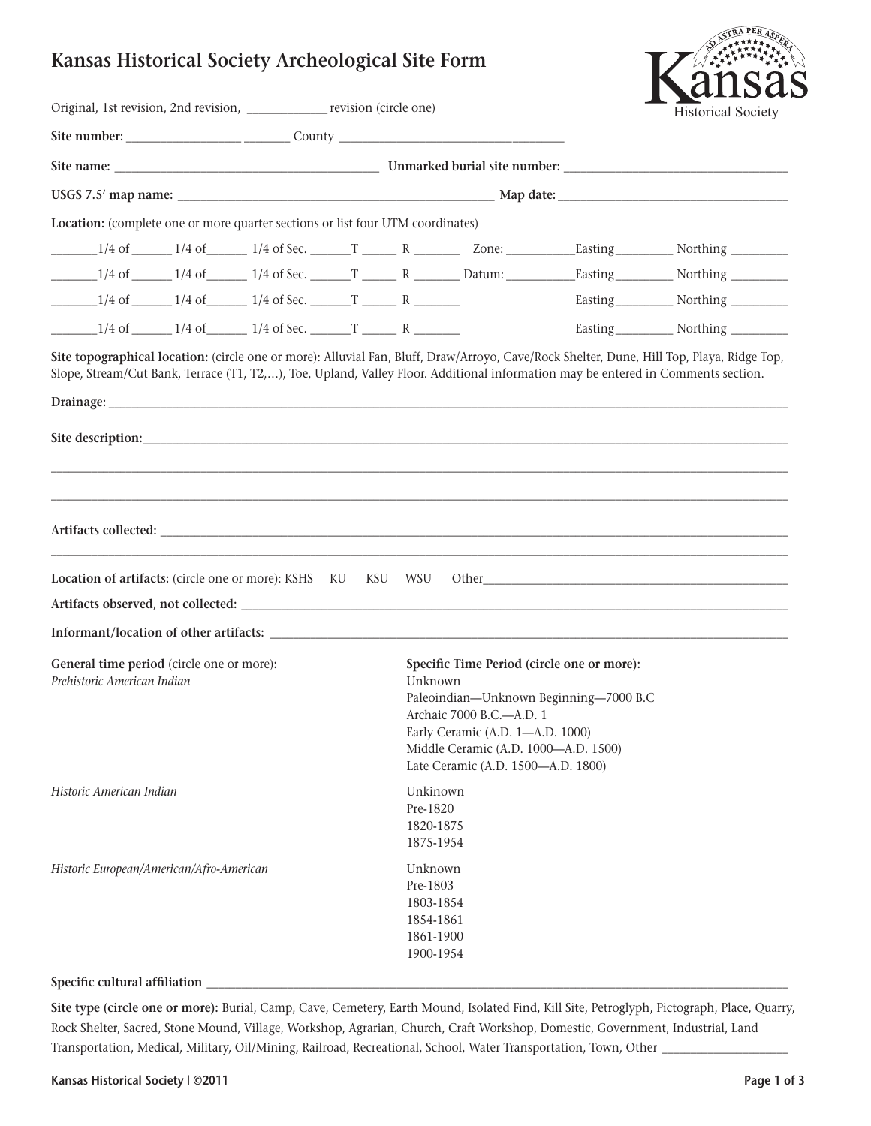## **Kansas Historical Society Archeological Site Form**

| Original, 1st revision, 2nd revision, _____________ revision (circle one)                                                                                                                                                            |                                                                         | <b>Historical Society</b> |                                                                                                                                                                                                                                               |  |  |                                                 |  |  |
|--------------------------------------------------------------------------------------------------------------------------------------------------------------------------------------------------------------------------------------|-------------------------------------------------------------------------|---------------------------|-----------------------------------------------------------------------------------------------------------------------------------------------------------------------------------------------------------------------------------------------|--|--|-------------------------------------------------|--|--|
|                                                                                                                                                                                                                                      |                                                                         |                           |                                                                                                                                                                                                                                               |  |  |                                                 |  |  |
|                                                                                                                                                                                                                                      |                                                                         |                           |                                                                                                                                                                                                                                               |  |  |                                                 |  |  |
|                                                                                                                                                                                                                                      |                                                                         |                           |                                                                                                                                                                                                                                               |  |  |                                                 |  |  |
| Location: (complete one or more quarter sections or list four UTM coordinates)                                                                                                                                                       |                                                                         |                           |                                                                                                                                                                                                                                               |  |  |                                                 |  |  |
|                                                                                                                                                                                                                                      |                                                                         |                           |                                                                                                                                                                                                                                               |  |  |                                                 |  |  |
| $1/4$ of $1/4$ of $1/4$ of $1/4$ of Sec. $T$ $R$ $R$ $Datum$ : Easting $North$ Northing $T$                                                                                                                                          |                                                                         |                           |                                                                                                                                                                                                                                               |  |  |                                                 |  |  |
| $\frac{1}{4}$ of $\frac{1}{4}$ of $\frac{1}{4}$ of $\frac{1}{4}$ of Sec. $\frac{1}{4}$ $\frac{1}{4}$ of Sec. $\frac{1}{4}$                                                                                                           |                                                                         |                           |                                                                                                                                                                                                                                               |  |  | Easting <sub>__________</sub> Northing ________ |  |  |
|                                                                                                                                                                                                                                      |                                                                         |                           |                                                                                                                                                                                                                                               |  |  | Easting Northing ________                       |  |  |
| Drainage: <u>the contract of the contract of the contract of the contract of the contract of the contract of the contract of the contract of the contract of the contract of the contract of the contract of the contract of the</u> |                                                                         |                           |                                                                                                                                                                                                                                               |  |  |                                                 |  |  |
| Location of artifacts: (circle one or more): KSHS KU KSU WSU Other                                                                                                                                                                   |                                                                         |                           |                                                                                                                                                                                                                                               |  |  |                                                 |  |  |
|                                                                                                                                                                                                                                      |                                                                         |                           |                                                                                                                                                                                                                                               |  |  |                                                 |  |  |
| General time period (circle one or more):<br>Prehistoric American Indian                                                                                                                                                             |                                                                         |                           | Specific Time Period (circle one or more):<br>Unknown<br>Paleoindian-Unknown Beginning-7000 B.C<br>Archaic 7000 B.C.—A.D. 1<br>Early Ceramic (A.D. 1-A.D. 1000)<br>Middle Ceramic (A.D. 1000-A.D. 1500)<br>Late Ceramic (A.D. 1500-A.D. 1800) |  |  |                                                 |  |  |
| Historic American Indian                                                                                                                                                                                                             | Unkinown<br>Pre-1820<br>1820-1875<br>1875-1954                          |                           |                                                                                                                                                                                                                                               |  |  |                                                 |  |  |
| Historic European/American/Afro-American<br>Specific cultural affiliation                                                                                                                                                            | Unknown<br>Pre-1803<br>1803-1854<br>1854-1861<br>1861-1900<br>1900-1954 |                           |                                                                                                                                                                                                                                               |  |  |                                                 |  |  |

**Site type (circle one or more):** Burial, Camp, Cave, Cemetery, Earth Mound, Isolated Find, Kill Site, Petroglyph, Pictograph, Place, Quarry, Rock Shelter, Sacred, Stone Mound, Village, Workshop, Agrarian, Church, Craft Workshop, Domestic, Government, Industrial, Land Transportation, Medical, Military, Oil/Mining, Railroad, Recreational, School, Water Transportation, Town, Other \_\_\_\_\_\_\_\_\_\_\_\_\_\_\_\_\_\_\_\_\_\_

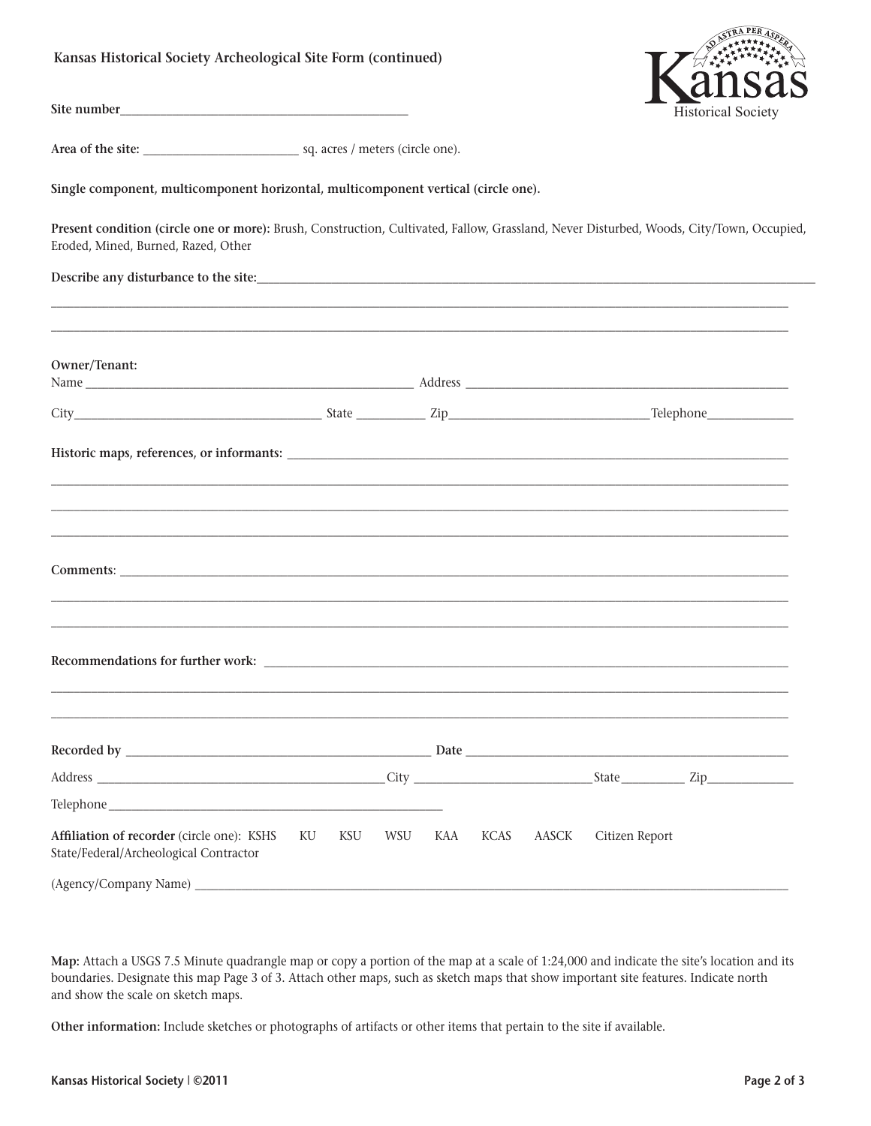## **Kansas Historical Society Archeological Site Form (continued)**



**Site number\_\_\_\_\_\_\_\_\_\_\_\_\_\_\_\_\_\_\_\_\_\_\_\_\_\_\_\_\_\_\_\_\_\_\_\_\_\_\_\_\_\_\_\_\_\_\_\_\_\_**

**Area of the site:** \_\_\_\_\_\_\_\_\_\_\_\_\_\_\_\_\_\_\_\_\_\_\_\_\_\_\_ sq. acres / meters (circle one).

**Single component, multicomponent horizontal, multicomponent vertical (circle one).**

**Present condition (circle one or more):** Brush, Construction, Cultivated, Fallow, Grassland, Never Disturbed, Woods, City/Town, Occupied, Eroded, Mined, Burned, Razed, Other

\_\_\_\_\_\_\_\_\_\_\_\_\_\_\_\_\_\_\_\_\_\_\_\_\_\_\_\_\_\_\_\_\_\_\_\_\_\_\_\_\_\_\_\_\_\_\_\_\_\_\_\_\_\_\_\_\_\_\_\_\_\_\_\_\_\_\_\_\_\_\_\_\_\_\_\_\_\_\_\_\_\_\_\_\_\_\_\_\_\_\_\_\_\_\_\_\_\_\_\_\_\_\_\_\_\_\_\_\_\_\_\_\_\_\_\_\_\_\_\_\_\_\_\_\_\_\_\_

**Describe any disturbance to the site:**\_\_\_\_\_\_\_\_\_\_\_\_\_\_\_\_\_\_\_\_\_\_\_\_\_\_\_\_\_\_\_\_\_\_\_\_\_\_\_\_\_\_\_\_\_\_\_\_\_\_\_\_\_\_\_\_\_\_\_\_\_\_\_\_\_\_\_\_\_\_\_\_\_\_\_\_\_\_\_\_\_\_\_\_\_\_\_\_\_\_\_\_\_\_\_\_\_

| Owner/Tenant:                                                                        |                           |  |  |  |                |  |
|--------------------------------------------------------------------------------------|---------------------------|--|--|--|----------------|--|
|                                                                                      |                           |  |  |  |                |  |
|                                                                                      |                           |  |  |  |                |  |
|                                                                                      |                           |  |  |  |                |  |
|                                                                                      |                           |  |  |  |                |  |
| ,我们也不能会有什么。""我们的人,我们也不能会有什么?""我们的人,我们也不能会有什么?""我们的人,我们也不能会有什么?""我们的人,我们也不能会有什么?""    |                           |  |  |  |                |  |
|                                                                                      |                           |  |  |  |                |  |
|                                                                                      |                           |  |  |  |                |  |
|                                                                                      |                           |  |  |  |                |  |
| Affiliation of recorder (circle one): KSHS<br>State/Federal/Archeological Contractor | KU KSU WSU KAA KCAS AASCK |  |  |  | Citizen Report |  |
|                                                                                      |                           |  |  |  |                |  |

**Map:** Attach a USGS 7.5 Minute quadrangle map or copy a portion of the map at a scale of 1:24,000 and indicate the site's location and its boundaries. Designate this map Page 3 of 3. Attach other maps, such as sketch maps that show important site features. Indicate north and show the scale on sketch maps.

**Other information:** Include sketches or photographs of artifacts or other items that pertain to the site if available.